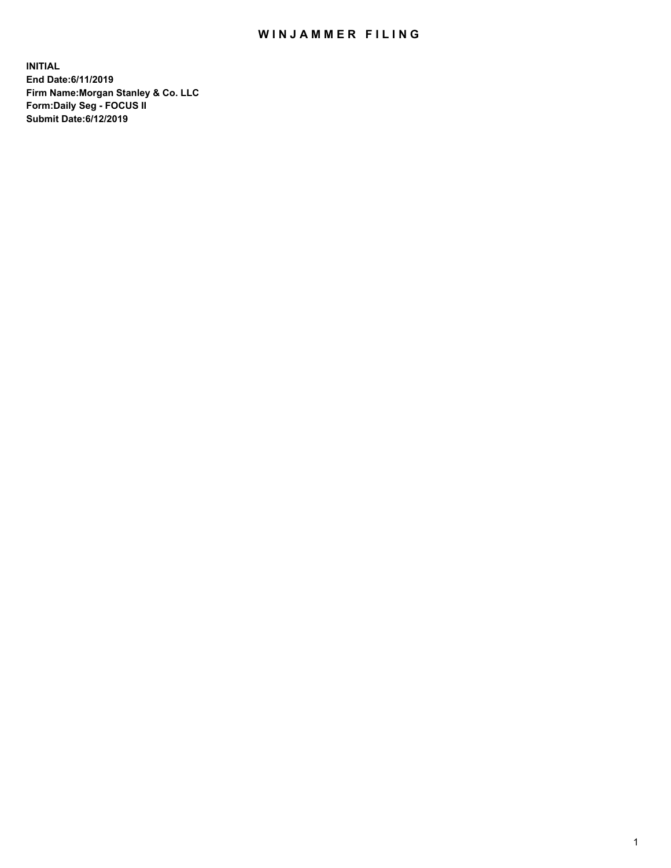## WIN JAMMER FILING

**INITIAL End Date:6/11/2019 Firm Name:Morgan Stanley & Co. LLC Form:Daily Seg - FOCUS II Submit Date:6/12/2019**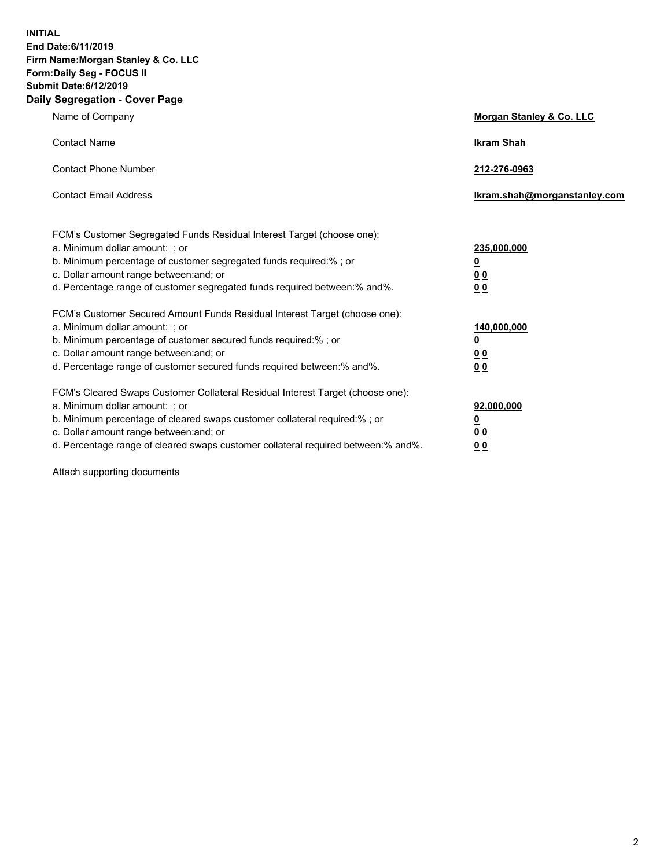**INITIAL End Date:6/11/2019 Firm Name:Morgan Stanley & Co. LLC Form:Daily Seg - FOCUS II Submit Date:6/12/2019 Daily Segregation - Cover Page**

| Name of Company                                                                   | Morgan Stanley & Co. LLC     |
|-----------------------------------------------------------------------------------|------------------------------|
| <b>Contact Name</b>                                                               | <b>Ikram Shah</b>            |
| <b>Contact Phone Number</b>                                                       | 212-276-0963                 |
| <b>Contact Email Address</b>                                                      | Ikram.shah@morganstanley.com |
| FCM's Customer Segregated Funds Residual Interest Target (choose one):            |                              |
| a. Minimum dollar amount: ; or                                                    | 235,000,000                  |
| b. Minimum percentage of customer segregated funds required:% ; or                | <u>0</u>                     |
| c. Dollar amount range between: and; or                                           | <u>0 0</u>                   |
| d. Percentage range of customer segregated funds required between: % and %.       | 00                           |
| FCM's Customer Secured Amount Funds Residual Interest Target (choose one):        |                              |
| a. Minimum dollar amount: ; or                                                    | 140,000,000                  |
| b. Minimum percentage of customer secured funds required:%; or                    | <u>0</u>                     |
| c. Dollar amount range between: and; or                                           | 0 <sub>0</sub>               |
| d. Percentage range of customer secured funds required between:% and%.            | 0 <sub>0</sub>               |
| FCM's Cleared Swaps Customer Collateral Residual Interest Target (choose one):    |                              |
| a. Minimum dollar amount: ; or                                                    | 92,000,000                   |
| b. Minimum percentage of cleared swaps customer collateral required:% ; or        | <u>0</u>                     |
| c. Dollar amount range between: and; or                                           | 0 Q                          |
| d. Percentage range of cleared swaps customer collateral required between:% and%. | 00                           |

Attach supporting documents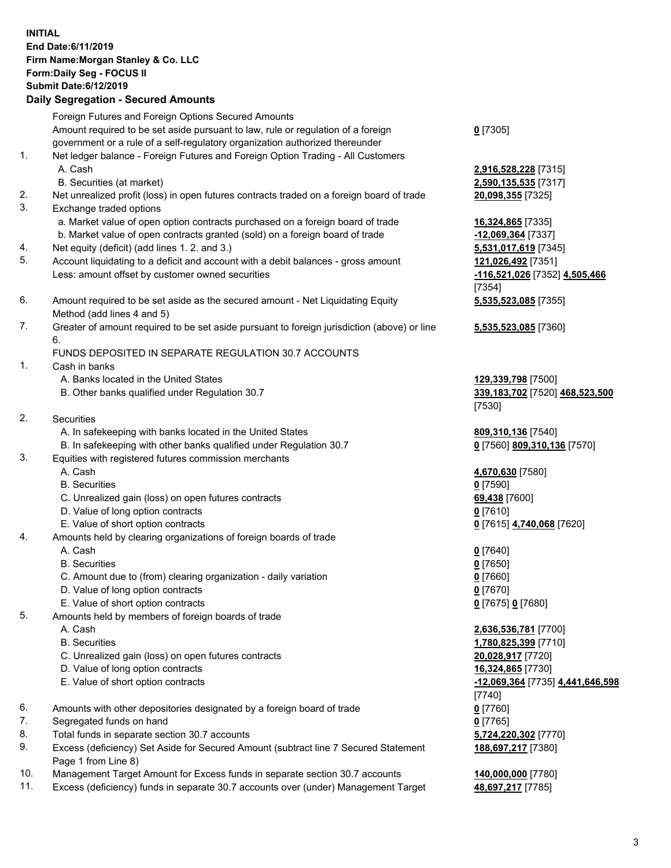## **INITIAL End Date:6/11/2019 Firm Name:Morgan Stanley & Co. LLC Form:Daily Seg - FOCUS II Submit Date:6/12/2019 Daily Segregation - Secured Amounts**

Foreign Futures and Foreign Options Secured Amounts Amount required to be set aside pursuant to law, rule or regulation of a foreign government or a rule of a self-regulatory organization authorized thereunder 1. Net ledger balance - Foreign Futures and Foreign Option Trading - All Customers A. Cash **2,916,528,228** [7315] B. Securities (at market) **2,590,135,535** [7317] 2. Net unrealized profit (loss) in open futures contracts traded on a foreign board of trade **20,098,355** [7325] 3. Exchange traded options a. Market value of open option contracts purchased on a foreign board of trade **16,324,865** [7335] b. Market value of open contracts granted (sold) on a foreign board of trade **-12,069,364** [7337] 4. Net equity (deficit) (add lines 1. 2. and 3.) **5,531,017,619** [7345] 5. Account liquidating to a deficit and account with a debit balances - gross amount **121,026,492** [7351] Less: amount offset by customer owned securities **-116,521,026** [7352] **4,505,466** 6. Amount required to be set aside as the secured amount - Net Liquidating Equity Method (add lines 4 and 5)

7. Greater of amount required to be set aside pursuant to foreign jurisdiction (above) or line 6.

## FUNDS DEPOSITED IN SEPARATE REGULATION 30.7 ACCOUNTS

- 1. Cash in banks
	- A. Banks located in the United States **129,339,798** [7500]
	- B. Other banks qualified under Regulation 30.7 **339,183,702** [7520] **468,523,500**
- 2. Securities
	- A. In safekeeping with banks located in the United States **809,310,136** [7540]
	- B. In safekeeping with other banks qualified under Regulation 30.7 **0** [7560] **809,310,136** [7570]
- 3. Equities with registered futures commission merchants
	-
	- B. Securities **0** [7590]
	- C. Unrealized gain (loss) on open futures contracts **69,438** [7600]
	- D. Value of long option contracts **0** [7610]
- E. Value of short option contracts **0** [7615] **4,740,068** [7620]
- 4. Amounts held by clearing organizations of foreign boards of trade
	- A. Cash **0** [7640]
	- B. Securities **0** [7650]
	- C. Amount due to (from) clearing organization daily variation **0** [7660]
	- D. Value of long option contracts **0** [7670]
	- E. Value of short option contracts **0** [7675] **0** [7680]
- 5. Amounts held by members of foreign boards of trade
	-
	-
	- C. Unrealized gain (loss) on open futures contracts **20,028,917** [7720]
	- D. Value of long option contracts **16,324,865** [7730]
	- E. Value of short option contracts **-12,069,364** [7735] **4,441,646,598**
- 6. Amounts with other depositories designated by a foreign board of trade **0** [7760]
- 7. Segregated funds on hand **0** [7765]
- 8. Total funds in separate section 30.7 accounts **5,724,220,302** [7770]
- 9. Excess (deficiency) Set Aside for Secured Amount (subtract line 7 Secured Statement Page 1 from Line 8)
- 10. Management Target Amount for Excess funds in separate section 30.7 accounts **140,000,000** [7780]
- 11. Excess (deficiency) funds in separate 30.7 accounts over (under) Management Target **48,697,217** [7785]

**0** [7305]

[7354] **5,535,523,085** [7355]

**5,535,523,085** [7360]

[7530]

A. Cash **4,670,630** [7580]

 A. Cash **2,636,536,781** [7700] B. Securities **1,780,825,399** [7710] [7740] **188,697,217** [7380]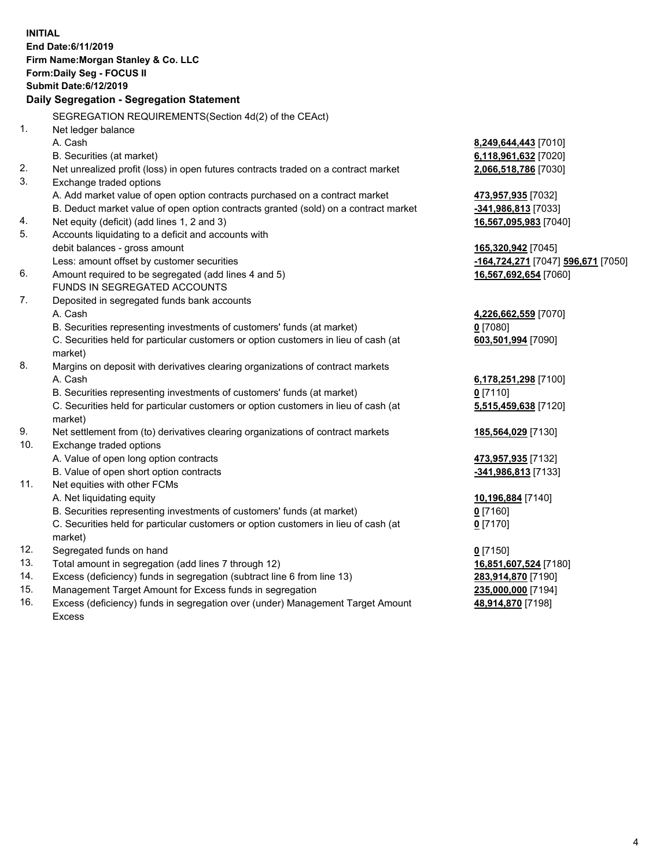| <b>INITIAL</b> | End Date: 6/11/2019<br>Firm Name: Morgan Stanley & Co. LLC<br>Form: Daily Seg - FOCUS II<br><b>Submit Date:6/12/2019</b><br>Daily Segregation - Segregation Statement |                                    |
|----------------|-----------------------------------------------------------------------------------------------------------------------------------------------------------------------|------------------------------------|
|                | SEGREGATION REQUIREMENTS (Section 4d(2) of the CEAct)                                                                                                                 |                                    |
| 1.             | Net ledger balance                                                                                                                                                    |                                    |
|                | A. Cash                                                                                                                                                               | <u>8,249,644,443</u> [7010]        |
|                | B. Securities (at market)                                                                                                                                             | 6,118,961,632 [7020]               |
| 2.             | Net unrealized profit (loss) in open futures contracts traded on a contract market                                                                                    | 2,066,518,786 [7030]               |
| 3.             | Exchange traded options                                                                                                                                               |                                    |
|                | A. Add market value of open option contracts purchased on a contract market                                                                                           | <u>473,957,935</u> [7032]          |
|                | B. Deduct market value of open option contracts granted (sold) on a contract market                                                                                   | <u>-341,986,813</u> [7033]         |
| 4.             | Net equity (deficit) (add lines 1, 2 and 3)                                                                                                                           | 16,567,095,983 [7040]              |
| 5.             | Accounts liquidating to a deficit and accounts with                                                                                                                   |                                    |
|                | debit balances - gross amount                                                                                                                                         | 165,320,942 [7045]                 |
|                | Less: amount offset by customer securities                                                                                                                            | -164,724,271 [7047] 596,671 [7050] |
| 6.             | Amount required to be segregated (add lines 4 and 5)                                                                                                                  | 16,567,692,654 [7060]              |
|                | FUNDS IN SEGREGATED ACCOUNTS                                                                                                                                          |                                    |
| 7.             | Deposited in segregated funds bank accounts                                                                                                                           |                                    |
|                | A. Cash                                                                                                                                                               | 4,226,662,559 [7070]               |
|                | B. Securities representing investments of customers' funds (at market)                                                                                                | $0$ [7080]                         |
|                | C. Securities held for particular customers or option customers in lieu of cash (at<br>market)                                                                        | 603,501,994 [7090]                 |
| 8.             | Margins on deposit with derivatives clearing organizations of contract markets                                                                                        |                                    |
|                | A. Cash                                                                                                                                                               | 6,178,251,298 [7100]               |
|                | B. Securities representing investments of customers' funds (at market)                                                                                                | 0 <sup>[7110]</sup>                |
|                | C. Securities held for particular customers or option customers in lieu of cash (at<br>market)                                                                        | 5,515,459,638 [7120]               |
| 9.             | Net settlement from (to) derivatives clearing organizations of contract markets                                                                                       | 185,564,029 [7130]                 |
| 10.            | Exchange traded options                                                                                                                                               |                                    |
|                | A. Value of open long option contracts                                                                                                                                | 473,957,935 [7132]                 |
|                | B. Value of open short option contracts                                                                                                                               | -341,986,813 [7133]                |
| 11.            | Net equities with other FCMs                                                                                                                                          |                                    |
|                | A. Net liquidating equity                                                                                                                                             | <u>10,196,884</u> [7140]           |
|                | B. Securities representing investments of customers' funds (at market)                                                                                                | $0$ [7160]                         |
|                | C. Securities held for particular customers or option customers in lieu of cash (at<br>market)                                                                        | $0$ [7170]                         |
| 12.            | Segregated funds on hand                                                                                                                                              | $0$ [7150]                         |
| 13.            | Total amount in segregation (add lines 7 through 12)                                                                                                                  | 16,851,607,524 [7180]              |
| 14.            | Excess (deficiency) funds in segregation (subtract line 6 from line 13)                                                                                               | <u>283,914,870</u> [7190]          |
| 15.            | Management Target Amount for Excess funds in segregation                                                                                                              | 235,000,000 [7194]                 |

16. Excess (deficiency) funds in segregation over (under) Management Target Amount Excess

**48,914,870** [7198]